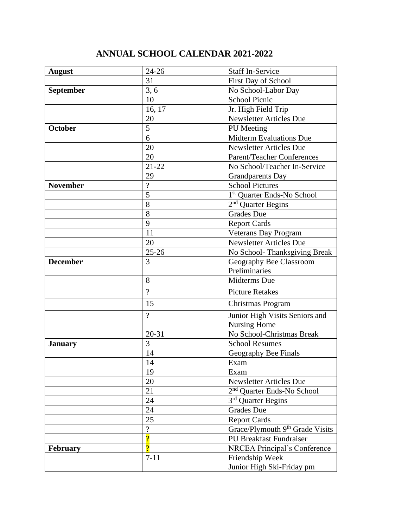## **ANNUAL SCHOOL CALENDAR 2021-2022**

| <b>August</b>    | $24 - 26$                | <b>Staff In-Service</b>                     |
|------------------|--------------------------|---------------------------------------------|
|                  | 31                       | First Day of School                         |
| <b>September</b> | 3, 6                     | No School-Labor Day                         |
|                  | 10                       | <b>School Picnic</b>                        |
|                  | 16, 17                   | Jr. High Field Trip                         |
|                  | 20                       | <b>Newsletter Articles Due</b>              |
| October          | 5                        | PU Meeting                                  |
|                  | 6                        | <b>Midterm Evaluations Due</b>              |
|                  | 20                       | <b>Newsletter Articles Due</b>              |
|                  | 20                       | Parent/Teacher Conferences                  |
|                  | $21 - 22$                | No School/Teacher In-Service                |
|                  | 29                       | <b>Grandparents Day</b>                     |
| <b>November</b>  | $\overline{?}$           | <b>School Pictures</b>                      |
|                  | 5                        | 1 <sup>st</sup> Quarter Ends-No School      |
|                  | 8                        | $2nd$ Quarter Begins                        |
|                  | 8                        | <b>Grades Due</b>                           |
|                  | 9                        | <b>Report Cards</b>                         |
|                  | 11                       | <b>Veterans Day Program</b>                 |
|                  | 20                       | <b>Newsletter Articles Due</b>              |
|                  | $25 - 26$                | No School-Thanksgiving Break                |
| <b>December</b>  | 3                        | Geography Bee Classroom                     |
|                  |                          | Preliminaries                               |
|                  | 8                        | Midterms Due                                |
|                  | $\gamma$                 | <b>Picture Retakes</b>                      |
|                  | 15                       | Christmas Program                           |
|                  | $\gamma$                 | Junior High Visits Seniors and              |
|                  |                          | Nursing Home                                |
|                  | $20 - 31$                | No School-Christmas Break                   |
| <b>January</b>   | 3                        | <b>School Resumes</b>                       |
|                  | 14                       | Geography Bee Finals                        |
|                  | 14                       | Exam                                        |
|                  | 19                       | Exam                                        |
|                  | 20                       | <b>Newsletter Articles Due</b>              |
|                  | 21                       | 2 <sup>nd</sup> Quarter Ends-No School      |
|                  | 24                       | $3rd$ Quarter Begins                        |
|                  | 24                       | <b>Grades Due</b>                           |
|                  | 25                       | <b>Report Cards</b>                         |
|                  | $\overline{\mathcal{L}}$ | Grace/Plymouth 9 <sup>th</sup> Grade Visits |
|                  | $\overline{?}$           | <b>PU Breakfast Fundraiser</b>              |
| <b>February</b>  | $\overline{?}$           | <b>NRCEA Principal's Conference</b>         |
|                  | $7 - 11$                 | Friendship Week                             |
|                  |                          | Junior High Ski-Friday pm                   |